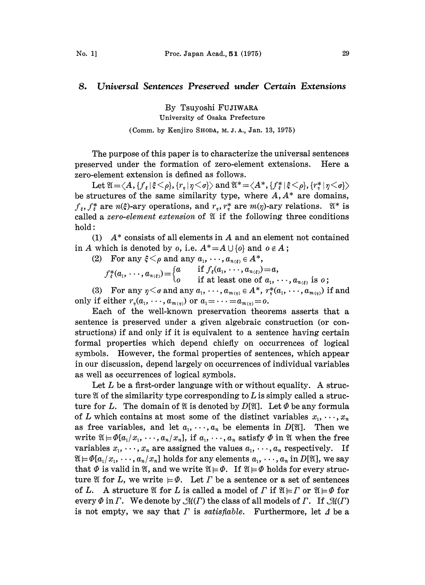## 8. Universal Sentences Preserved under Certain Extensions

By Tsuyoshi FUJIWARA University of Osaka Prefecture (Comm. by Kenjiro SHODA, M. J.A., Jan. 13, 1975)

The purpose of this paper is to characterize the universal sentences preserved under the formation of zero-element extensions. Here a zero-element extension is defined as follows.

Let  $\mathfrak{A} = \langle A, \{f_{\varepsilon} | \xi \leq \rho\}, \{r_{\eta} | \eta \leq \sigma\} \rangle$  and  $\mathfrak{A}^* = \langle A^*, \{f_{\varepsilon}^* | \xi \leq \rho\}, \{r_{\eta}^* | \eta \leq \sigma\} \rangle$ be structures of the same similarity type, where  $A, A^*$  are domains,  $f_{\varepsilon}$ ,  $f_{\varepsilon}^*$  are  $n(\xi)$ -ary operations, and  $r_{\eta}$ ,  $r_{\eta}^*$  are  $m(\eta)$ -ary relations.  $\mathfrak{A}^*$  is called a zero-element extension of  $\mathfrak A$  if the following three conditions hold:

(1)  $A^*$  consists of all elements in A and an element not contained in A which is denoted by o, i.e.  $A^* = A \cup \{o\}$  and  $o \notin A$ ;

(2) For any  $\xi < \rho$  and any  $a_1, \dots, a_{n(\xi)} \in A^*$ ,

 $f^*_\varepsilon(a_1,\dots,a_{n(\varepsilon)}) = \begin{cases} a & \text{if }J_\varepsilon(a_1,\dots,a_{n(\varepsilon)}) = a, \\ o & \text{if at least one of }a_1,\dots,a_{n(\varepsilon)} \text{ is } o; \end{cases}$ 

(3) For any  $\eta < \sigma$  and any  $a_1, \dots, a_{m(\eta)} \in A^*$ ,  $r^*_\eta(a_1, \dots, a_{m(\eta)})$  if and only if either  $r_n(a_1, \dots, a_{m(n)})$  or  $a_1 = \dots = a_{m(n)} = 0$ .

Each of the well-known preservation theorems asserts that a sentence is preserved under a given algebraic construction (or constructions) if and only if it is equivalent to a sentence having certain formal properties which depend chiefly on occurrences of logical symbols. However, the formal properties of sentences, which appear in our discussion, depend largely on occurrences of individual variables as well as occurrences of logical symbols.

Let  $L$  be a first-order language with or without equality. A structure  $\mathfrak A$  of the similarity type corresponding to L is simply called a structure for L. The domain of  $\mathfrak A$  is denoted by  $D[\mathfrak A]$ . Let  $\Phi$  be any formula of L which contains at most some of the distinct variables  $x_1, \dots, x_n$ as free variables, and let  $a_1, \dots, a_n$  be elements in  $D[\mathfrak{A}]$ . Then we write  $\mathfrak{A} \models \Phi[a_1/x_1,\dots, a_n/x_n]$ , if  $a_1, \dots, a_n$  satisfy  $\Phi$  in  $\mathfrak A$  when the free variables  $x_1, \dots, x_n$  are assigned the values  $a_1, \dots, a_n$  respectively. If  $\mathfrak{A} \models \Phi[a_1/x_1, \cdots, a_n/x_n]$  holds for any elements  $a_1, \cdots, a_n$  in  $D[\mathfrak{A}]$ , we say that  $\Phi$  is valid in  $\mathfrak{A}$ , and we write  $\mathfrak{A} \models \Phi$ . If  $\mathfrak{A} \models \Phi$  holds for every structure  $\mathfrak A$  for L, we write  $\neq \emptyset$ . Let  $\Gamma$  be a sentence or a set of sentences of L. A structure  $\mathfrak A$  for L is called a model of  $\Gamma$  if  $\mathfrak A \models \Gamma$  or  $\mathfrak A \models \Phi$  for every  $\Phi$  in  $\Gamma$ . We denote by  $\mathcal{M}(\Gamma)$  the class of all models of  $\Gamma$ . If  $\mathcal{M}(\Gamma)$ is not empty, we say that  $\Gamma$  is satisfiable. Furthermore, let  $\Delta$  be a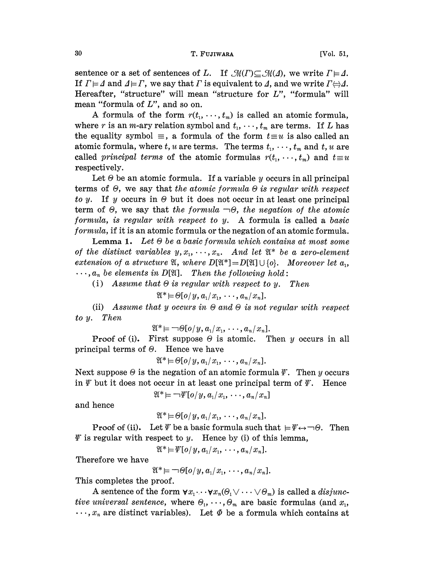## 30 T. FUJIWARA [Vol. 51,

sentence or a set of sentences of L. If  $\mathcal{M}(T) \subseteq \mathcal{M}(\Delta)$ , we write  $\Gamma \models \Delta$ . If  $\Gamma \models \bot$  and  $\bot \models \Gamma$ , we say that  $\Gamma$  is equivalent to  $\bot$ , and we write  $\Gamma \Leftrightarrow \bot$ . Hereafter, "structure" will mean "structure for L", "formula" will mean "formula of L", and so on.

A formula of the form  $r(t_1, \dots, t_m)$  is called an atomic formula, where r is an m-ary relation symbol and  $t_1, \dots, t_m$  are terms. If L has the equality symbol  $\equiv$ , a formula of the form  $t \equiv u$  is also called an atomic formula, where t, u are terms. The terms  $t_1, \dots, t_m$  and t, u are called *principal terms* of the atomic formulas  $r(t_1, \dots, t_m)$  and  $t \equiv u$ respectively.

Let  $\Theta$  be an atomic formula. If a variable y occurs in all principal terms of  $\Theta$ , we say that the atomic formula  $\Theta$  is regular with respect to y. If y occurs in  $\Theta$  but it does not occur in at least one principal term of  $\Theta$ , we say that the formula  $\neg \Theta$ , the negation of the atomic formula, is regular with respect to  $y$ . A formula is called a basic formula, if it is an atomic formula or the negation of an atomic formula.

Lemma 1. Let  $\Theta$  be a basic formula which contains at most some of the distinct variables  $y, x_1, \dots, x_n$ . And let  $\mathfrak{A}^*$  be a zero-element extension of a structure  $\mathfrak{A},$  where  $D[\mathfrak{A}^*]=D[\mathfrak{A}]\cup \{o\}$ . Moreover let  $a_1$ ,  $\ldots$ ,  $a_n$  be elements in D[X]. Then the following hold:

(i) Assume that  $\Theta$  is regular with respect to y. Then

$$
\mathfrak{A}^* \models \Theta(o/y, a_1/x_1, \cdots, a_n/x_n].
$$

(ii) Assume that y occurs in  $\Theta$  and  $\Theta$  is not regular with respect to y. Then

 $\mathfrak{A}^* \models \neg \Theta[o/y, a_1/x_1, \cdots, a_n/x_n].$ 

**Proof of (i).** First suppose  $\Theta$  is atomic. Then y occurs in all principal terms of  $\Theta$ . Hence we have

 $\mathfrak{A}^* \models \Theta[o/y, a_1/x_1, \cdots, a_n/x_n].$ 

Next suppose  $\Theta$  is the negation of an atomic formula  $\mathscr Y$ . Then y occurs in  $\psi$  but it does not occur in at least one principal term of  $\psi$ . Hence

$$
\mathfrak{A}^* \models \neg \Psi[o/y, a_1/x_1, \cdots, a_n/x_n]
$$

and hence

 $\mathfrak{A}^* \models \Theta(o/y, a_1/x_1, \cdots, a_n/x_n].$ 

**Proof of (ii).** Let  $\psi$  be a basic formula such that  $\models \psi \leftrightarrow \neg \theta$ . Then  $\varPsi$  is regular with respect to y. Hence by (i) of this lemma,

 $\mathfrak{A}^* \models \Psi(o/y, a_1/x_1, \cdots, a_n/x_n].$ 

Therefore we have

 $\mathfrak{A}^* \models \neg \Theta[o/y, a_1/x_1, \cdots, a_n/x_n].$ 

This completes the proof.

A sentence of the form  $\forall x_1 \cdots \forall x_n (\theta_1 \vee \cdots \vee \theta_m)$  is called a *disjunc*tive universal sentence, where  $\Theta_1, \cdots, \Theta_m$  are basic formulas (and  $x_1$ ,  $\ldots$ ,  $x_n$  are distinct variables). Let  $\Phi$  be a formula which contains at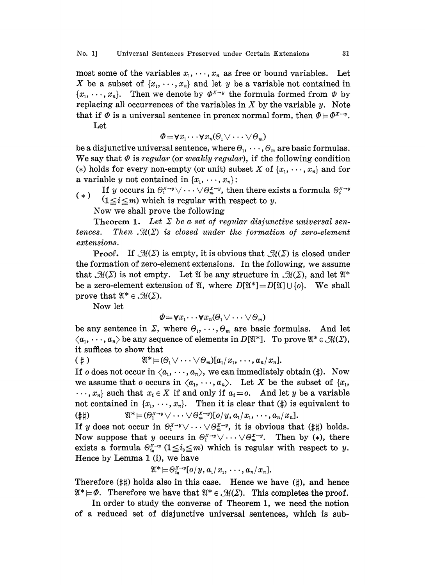## No. 1] Universal Sentences Preserved under Certain Extensions 31

most some of the variables  $x_1, \dots, x_n$  as free or bound variables. Let X be a subset of  $\{x_1, \dots, x_n\}$  and let y be a variable not contained in  $\{x_1, \dots, x_n\}$ . Then we denote by  $\Phi^{x \to y}$  the formula formed from  $\Phi$  by replacing all occurrences of the variables in  $X$  by the variable  $y$ . Note that if  $\Phi$  is a universal sentence in prenex normal form, then  $\Phi \models \Phi^{X \to y}$ .

Let

$$
\Phi = \forall x_1 \cdots \forall x_n (\Theta_1 \vee \cdots \vee \Theta_m)
$$

be a disjunctive universal sentence, where  $\Theta_1, \cdots, \Theta_m$  are basic formulas. We say that  $\Phi$  is regular (or weakly regular), if the following condition (\*) holds for every non-empty (or unit) subset X of  $\{x_1, \dots, x_n\}$  and for a variable y not contained in  $\{x_1, \dots, x_n\}$ :

If y occurs in  $\Theta_i^{x \to y} \vee \cdots \vee \Theta_m^{x \to y}$ , then there exists a formula  $\Theta_i^{x \to y}$  $(1 \le i \le m)$  which is regular with respect to y.

Now we shall prove the following

**Theorem 1.** Let  $\Sigma$  be a set of regular disjunctive universal sentences. Then  $\mathcal{M}(\Sigma)$  is closed under the formation of zero-element extensions.

**Proof.** If  $\mathcal{M}(\Sigma)$  is empty, it is obvious that  $\mathcal{M}(\Sigma)$  is closed under the formation of zero-element extensions. In the following, we assume that  $\mathcal{M}(\Sigma)$  is not empty. Let  $\mathfrak{A}$  be any structure in  $\mathcal{M}(\Sigma)$ , and let  $\mathfrak{A}^*$ be a zero-element extension of  $\mathfrak{A}$ , where  $D[\mathfrak{A}^*]=D[\mathfrak{A}] \cup \{o\}$ . We shall prove that  $\mathfrak{A}^* \in \mathcal{M}(\Sigma)$ .<br>Now let

Now let

$$
\Phi = \forall x_1 \cdots \forall x_n (\Theta_1 \vee \cdots \vee \Theta_m)
$$

be any sentence in  $\Sigma$ , where  $\Theta_1, \cdots, \Theta_m$  are basic formulas. And let  $\langle a_1, \dots, a_n \rangle$  be any sequence of elements in  $D(\mathfrak{A}^*)$ . To prove  $\mathfrak{A}^* \in \mathcal{M}(\Sigma)$ , it suffices to show that

 $($   $\sharp$ )  $\mathfrak{A}^* \models (\Theta_1 \vee \cdots \vee \Theta_m) [a_1 / x_1, \cdots, a_n / x_n].$ 

If o does not occur in  $\langle a_1, \dots, a_n \rangle$ , we can immediately obtain (#). Now we assume that o occurs in  $\langle a_1, \dots, a_n \rangle$ . Let X be the subset of  $\{x_1, \dots, x_n\}$ .  $\ldots, x_n$  such that  $x_i \in X$  if and only if  $a_i = o$ . And let y be a variable not contained in  $\{x_1, \dots, x_n\}$ . Then it is clear that  $(\sharp)$  is equivalent to (##)  $\mathfrak{A}^* \models (\Theta_1^{x \to y} \vee \cdots \vee \Theta_m^{x \to y})[\mathfrak{o}/y, a_1/x_1, \cdots, a_n/x_n].$ 

If y does not occur in  $\Theta_1^{x \to y} \vee \cdots \vee \Theta_m^{x \to y}$ , it is obvious that (##) holds. Now suppose that y occurs in  $\Theta_1^{X \to y} \vee \cdots \vee \Theta_m^{X \to y}$ . Then by (\*), there exists a formula  $\Theta_{i_0}^{x \to y}$  ( $1 \leq i_0 \leq m$ ) which is regular with respect to y.<br>
Hence by Lemma 1 (i), we have<br>  $\mathfrak{A}^* \models \Theta_{i_0}^{x \to y} [\circ/y, a_1/x_1, \cdots, a_n/x_n].$ <br>
Therefore (##) holds also in this case. Hence we have (# Hence by Lemma <sup>1</sup> (i), we have

$$
\mathfrak{A}^* \models \Theta_{i_0}^{X \to y} [o/y, a_1/x_1, \cdots, a_n/x_n].
$$

Therefore  $(\#\#)$  holds also in this case. Hence we have  $(\#)$ , and hence Therefore (##) holds also in this case. Hence we have (#), and hence  $\mathfrak{A}^* \models \Phi$ . Therefore we have that  $\mathfrak{A}^* \in \mathcal{M}(\Sigma)$ . This completes the proof.<br>In order to study the converse of Theorem 1, we need the notio

In order to study the converse of Theorem 1, we need the notion of a reduced set of disjunctive universal sentences, which is sub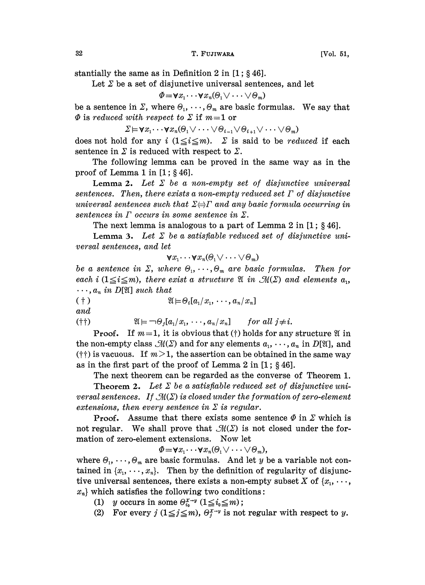stantially the same as in Definition 2 in  $[1; § 46]$ .

Let  $\Sigma$  be a set of disjunctive universal sentences, and let

 $\Phi = \forall x_1 \cdots \forall x_n (\Theta_1 \vee \cdots \vee \Theta_m)$ 

be a sentence in  $\Sigma$ , where  $\Theta_1, \cdots, \Theta_m$  are basic formulas. We say that  $\Phi$  is reduced with respect to  $\Sigma$  if  $m$ =1 or

 $\Sigma \models \forall x_1 \cdots \forall x_n (\Theta_1 \vee \cdots \vee \Theta_{i-1} \vee \Theta_{i+1} \vee \cdots \vee \Theta_m)$ 

does not hold for any i  $(1 \le i \le m)$ .  $\Sigma$  is said to be *reduced* if each sentence in  $\Sigma$  is reduced with respect to  $\Sigma$ .

The following lemma can be proved in the same way as in the proof of Lemma 1 in  $[1; § 46]$ .

Lemma 2. Let  $\Sigma$  be a non-empty set of disjunctive universal sentences. Then, there exists a non-empty reduced set  $\Gamma$  of disjunctive universal sentences such that  $\Sigma \Leftrightarrow \Gamma$  and any basic formula occurring in sentences in  $\Gamma$  occurs in some sentence in  $\Sigma$ .

The next lemma is analogous to a part of Lemma 2 in  $[1; § 46]$ .

**Lemma 3.** Let  $\Sigma$  be a satisfiable reduced set of disjunctive universal sentences, and let

$$
\forall x_1 \cdots \forall x_n (\Theta_1 \vee \cdots \vee \Theta_m)
$$

be a sentence in  $\Sigma$ , where  $\Theta_1, \cdots, \Theta_m$  are basic formulas. Then for each i  $(1 \leq i \leq m)$ , there exist a structure  $\mathfrak{A}$  in  $\mathfrak{M}(\Sigma)$  and elements  $a_i$ ,  $\cdots$ ,  $a_n$  in D[X] such that<br>  $(\dagger)$   $\mathfrak{A} \models \Theta_i[a_1/x_1, \cdots, a_n/x_n]$ 

 $(†)$ 

and

(†)  $\mathfrak{A} \models \neg \Theta_i[a_1/x_1, \cdots, a_n/x_n]$  for all  $j \neq i$ .

**Proof.** If  $m=1$ , it is obvious that (†) holds for any structure  $\mathfrak{A}$  in the non-empty class  $\mathcal{M}(\Sigma)$  and for any elements  $a_1, \dots, a_n$  in  $D[\mathfrak{A}]$ , and  $(†)$  is vacuous. If  $m > 1$ , the assertion can be obtained in the same way as in the first part of the proof of Lemma 2 in  $[1; §46]$ .

The next theorem can be regarded as the converse of Theorem 1. **Theorem 2.** Let  $\Sigma$  be a satisfiable reduced set of disjunctive universal sentences. If  $\mathcal{M}(\Sigma)$  is closed under the formation of zero-element extensions, then every sentence in  $\Sigma$  is regular.

**Proof.** Assume that there exists some sentence  $\Phi$  in  $\Sigma$  which is not regular. We shall prove that  $\mathcal{M}(\Sigma)$  is not closed under the formation of zero-element extensions. Now let

 $\Phi = \forall x_1 \cdots \forall x_n (\Theta_1 \vee \cdots \vee \Theta_m),$ 

where  $\Theta_1, \dots, \Theta_m$  are basic formulas. And let y be a variable not contained in  $\{x_1, \dots, x_n\}$ . Then by the definition of regularity of disjunctive universal sentences, there exists a non-empty subset X of  $\{x_1, \dots, x_n\}$  $x_n$  which satisfies the following two conditions:<br>
(1) y occurs in some  $\Theta_{i_0}^{x \to y}$  ( $1 \le i_0 \le m$ );<br>
(2) For event  $i(1 \le i \le m)$   $\Theta_{i_0}^{x \to y}$  is not require

- 
- (2) For every  $j$   $(1 \leq j \leq m)$ ,  $\Theta_j^{x-y}$  is not regular with respect to y.